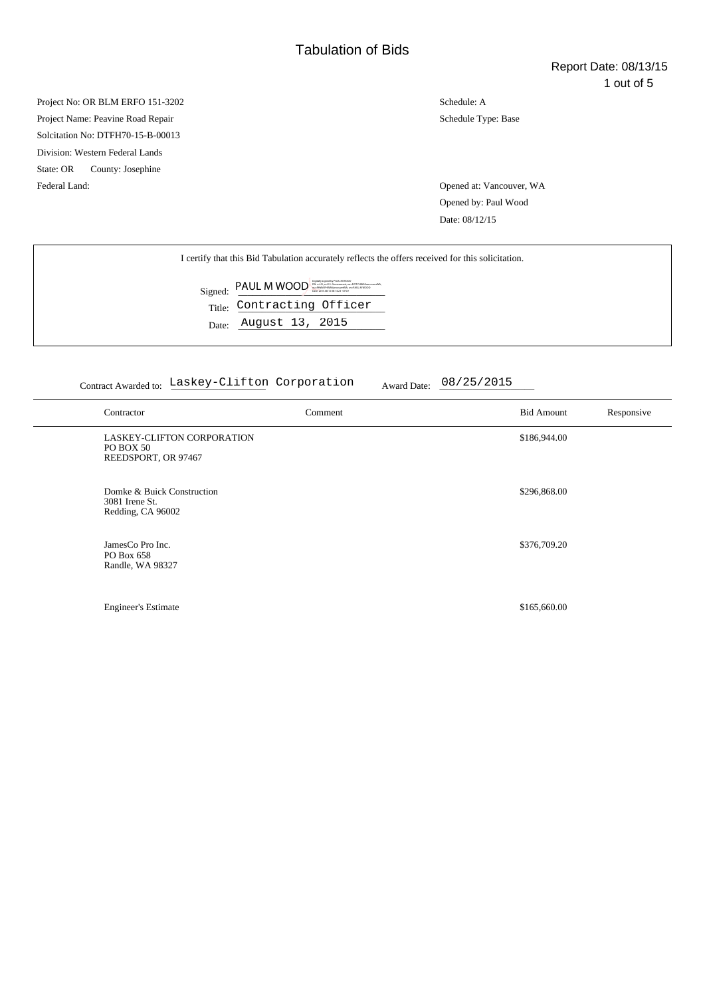Project No: OR BLM ERFO 151-3202 Project Name: Peavine Road Repair Solcitation No: DTFH70-15-B-00013 Division: Western Federal Lands State: OR County: Josephine Federal Land: Opened at: Vancouver, WA

Schedule: A Schedule Type: Base

Opened by: Paul Wood Date: 08/12/15

Contract Awarded to: Laskey-Clifton Corporation Award Date:  $08/25/2015$ 

| Contractor                                                        | Comment | <b>Bid Amount</b> | Responsive |
|-------------------------------------------------------------------|---------|-------------------|------------|
| LASKEY-CLIFTON CORPORATION<br>PO BOX 50<br>REEDSPORT, OR 97467    |         | \$186,944.00      |            |
| Domke & Buick Construction<br>3081 Irene St.<br>Redding, CA 96002 |         | \$296,868.00      |            |
| JamesCo Pro Inc.<br>PO Box 658<br>Randle, WA 98327                |         | \$376,709.20      |            |
| <b>Engineer's Estimate</b>                                        |         | \$165,660.00      |            |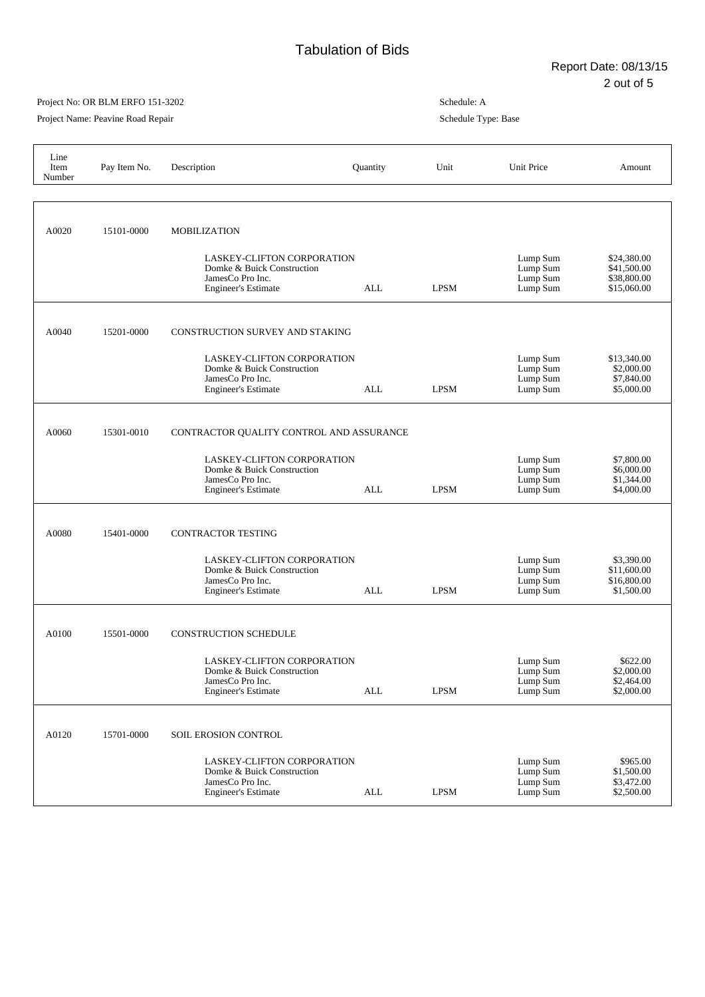٦

## Project No: OR BLM ERFO 151-3202

Project Name: Peavine Road Repair

| Line<br>Item<br>Number | Pay Item No. | Description                                                                                                | Quantity   | Unit        | Unit Price                                   | Amount                                                   |
|------------------------|--------------|------------------------------------------------------------------------------------------------------------|------------|-------------|----------------------------------------------|----------------------------------------------------------|
|                        |              |                                                                                                            |            |             |                                              |                                                          |
| A0020                  | 15101-0000   | <b>MOBILIZATION</b>                                                                                        |            |             |                                              |                                                          |
|                        |              | LASKEY-CLIFTON CORPORATION<br>Domke & Buick Construction<br>JamesCo Pro Inc.<br><b>Engineer's Estimate</b> | ALL        | <b>LPSM</b> | Lump Sum<br>Lump Sum<br>Lump Sum<br>Lump Sum | \$24,380.00<br>\$41,500.00<br>\$38,800.00<br>\$15,060.00 |
| A0040                  | 15201-0000   | <b>CONSTRUCTION SURVEY AND STAKING</b>                                                                     |            |             |                                              |                                                          |
|                        |              | LASKEY-CLIFTON CORPORATION<br>Domke & Buick Construction<br>JamesCo Pro Inc.<br><b>Engineer's Estimate</b> | ALL        | <b>LPSM</b> | Lump Sum<br>Lump Sum<br>Lump Sum<br>Lump Sum | \$13,340.00<br>\$2,000.00<br>\$7,840.00<br>\$5,000.00    |
| A0060                  | 15301-0010   | CONTRACTOR QUALITY CONTROL AND ASSURANCE                                                                   |            |             |                                              |                                                          |
|                        |              | LASKEY-CLIFTON CORPORATION<br>Domke & Buick Construction<br>JamesCo Pro Inc.<br><b>Engineer's Estimate</b> | ALL        | <b>LPSM</b> | Lump Sum<br>Lump Sum<br>Lump Sum<br>Lump Sum | \$7,800.00<br>\$6,000.00<br>\$1,344.00<br>\$4,000.00     |
| A0080                  | 15401-0000   | <b>CONTRACTOR TESTING</b>                                                                                  |            |             |                                              |                                                          |
|                        |              | LASKEY-CLIFTON CORPORATION<br>Domke & Buick Construction<br>JamesCo Pro Inc.<br><b>Engineer's Estimate</b> | ALL        | <b>LPSM</b> | Lump Sum<br>Lump Sum<br>Lump Sum<br>Lump Sum | \$3,390.00<br>\$11,600.00<br>\$16,800.00<br>\$1,500.00   |
| A0100                  | 15501-0000   | <b>CONSTRUCTION SCHEDULE</b>                                                                               |            |             |                                              |                                                          |
|                        |              | LASKEY-CLIFTON CORPORATION<br>Domke & Buick Construction<br>JamesCo Pro Inc.<br><b>Engineer's Estimate</b> | <b>ALL</b> | <b>LPSM</b> | Lump Sum<br>Lump Sum<br>Lump Sum<br>Lump Sum | \$622.00<br>\$2,000.00<br>\$2,464.00<br>\$2,000.00       |
| A0120                  | 15701-0000   | SOIL EROSION CONTROL                                                                                       |            |             |                                              |                                                          |
|                        |              | LASKEY-CLIFTON CORPORATION<br>Domke & Buick Construction<br>JamesCo Pro Inc.<br><b>Engineer's Estimate</b> | ALL        | <b>LPSM</b> | Lump Sum<br>Lump Sum<br>Lump Sum<br>Lump Sum | \$965.00<br>\$1,500.00<br>\$3,472.00<br>\$2,500.00       |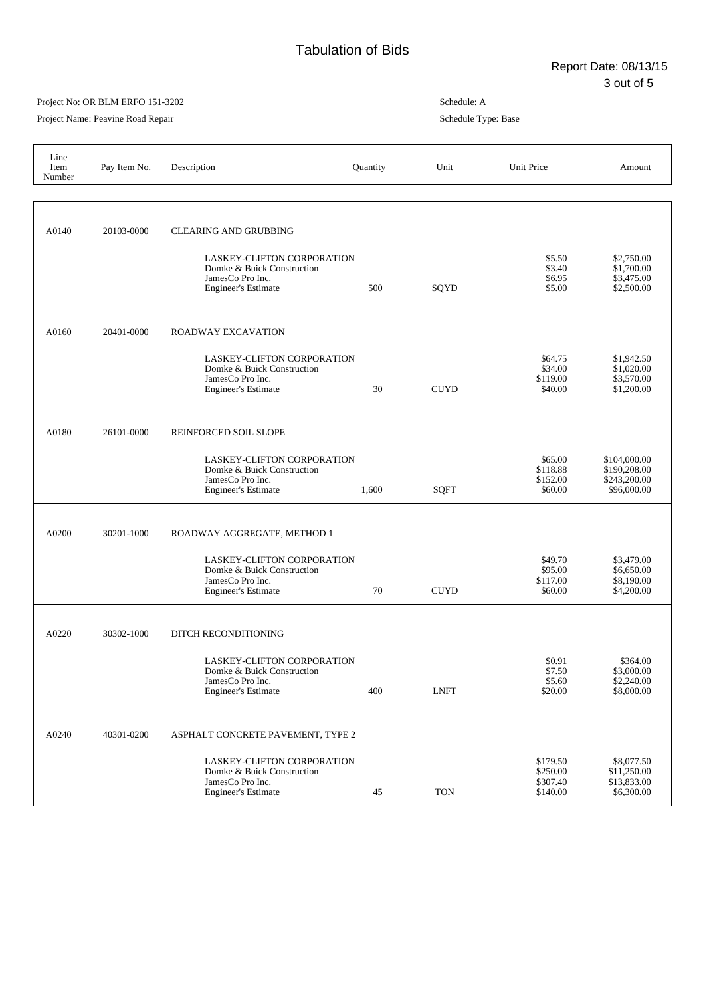٦

## Project No: OR BLM ERFO 151-3202

Project Name: Peavine Road Repair

| Line<br>Item<br>Number | Pay Item No. | Description                                                                                                | Quantity | Unit        | Unit Price                                   | Amount                                                      |
|------------------------|--------------|------------------------------------------------------------------------------------------------------------|----------|-------------|----------------------------------------------|-------------------------------------------------------------|
|                        |              |                                                                                                            |          |             |                                              |                                                             |
| A0140                  | 20103-0000   | <b>CLEARING AND GRUBBING</b>                                                                               |          |             |                                              |                                                             |
|                        |              | LASKEY-CLIFTON CORPORATION<br>Domke & Buick Construction<br>JamesCo Pro Inc.<br><b>Engineer's Estimate</b> | 500      | SQYD        | \$5.50<br>\$3.40<br>\$6.95<br>\$5.00         | \$2,750.00<br>\$1,700.00<br>\$3,475.00<br>\$2,500.00        |
| A0160                  | 20401-0000   | ROADWAY EXCAVATION                                                                                         |          |             |                                              |                                                             |
|                        |              | LASKEY-CLIFTON CORPORATION<br>Domke & Buick Construction<br>JamesCo Pro Inc.<br><b>Engineer's Estimate</b> | 30       | <b>CUYD</b> | \$64.75<br>\$34.00<br>\$119.00<br>\$40.00    | \$1,942.50<br>\$1,020.00<br>\$3,570.00<br>\$1,200.00        |
| A0180                  | 26101-0000   | REINFORCED SOIL SLOPE                                                                                      |          |             |                                              |                                                             |
|                        |              | LASKEY-CLIFTON CORPORATION<br>Domke & Buick Construction<br>JamesCo Pro Inc.<br><b>Engineer's Estimate</b> | 1,600    | <b>SQFT</b> | \$65.00<br>\$118.88<br>\$152.00<br>\$60.00   | \$104,000.00<br>\$190,208.00<br>\$243,200.00<br>\$96,000.00 |
| A0200                  | 30201-1000   | ROADWAY AGGREGATE, METHOD 1                                                                                |          |             |                                              |                                                             |
|                        |              | LASKEY-CLIFTON CORPORATION<br>Domke & Buick Construction<br>JamesCo Pro Inc.<br><b>Engineer's Estimate</b> | 70       | <b>CUYD</b> | \$49.70<br>\$95.00<br>\$117.00<br>\$60.00    | \$3,479.00<br>\$6,650.00<br>\$8,190.00<br>\$4,200.00        |
| A0220                  | 30302-1000   | DITCH RECONDITIONING                                                                                       |          |             |                                              |                                                             |
|                        |              | LASKEY-CLIFTON CORPORATION<br>Domke & Buick Construction<br>JamesCo Pro Inc.<br><b>Engineer's Estimate</b> | 400      | <b>LNFT</b> | \$0.91<br>\$7.50<br>\$5.60<br>\$20.00        | \$364.00<br>\$3,000.00<br>\$2,240.00<br>\$8,000.00          |
| A0240                  | 40301-0200   | ASPHALT CONCRETE PAVEMENT, TYPE 2                                                                          |          |             |                                              |                                                             |
|                        |              | LASKEY-CLIFTON CORPORATION<br>Domke & Buick Construction<br>JamesCo Pro Inc.<br><b>Engineer's Estimate</b> | 45       | <b>TON</b>  | \$179.50<br>\$250.00<br>\$307.40<br>\$140.00 | \$8,077.50<br>\$11,250.00<br>\$13,833.00<br>\$6,300.00      |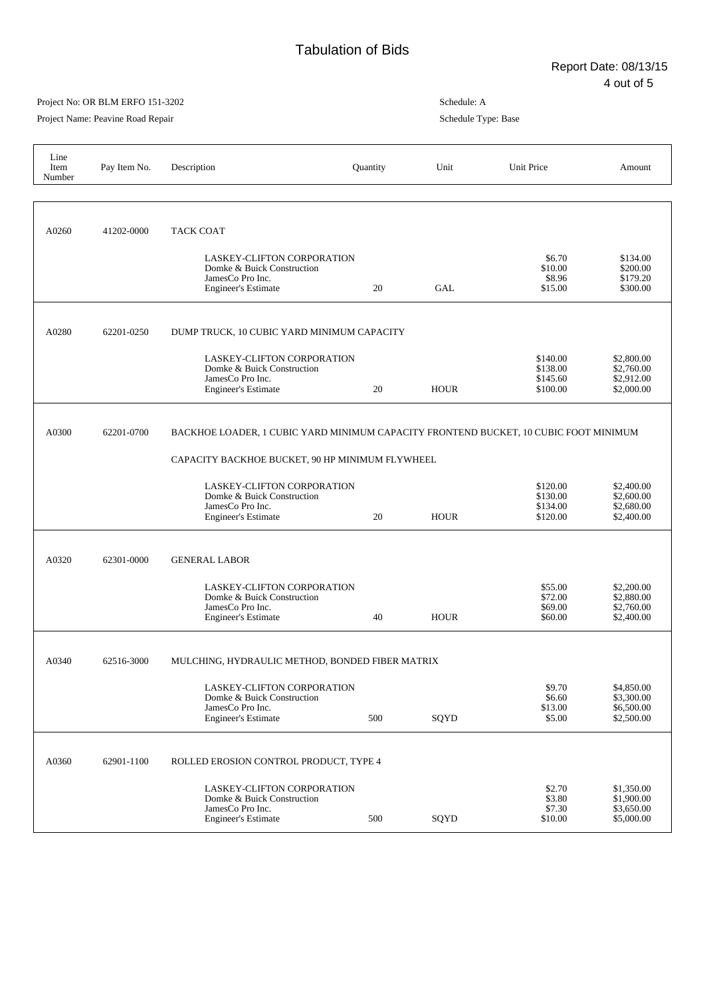## Project No: OR BLM ERFO 151-3202

Project Name: Peavine Road Repair

| Line<br>Item<br>Number | Pay Item No. | Description                                                                                                                             | Quantity | Unit        | Unit Price                                   | Amount                                               |  |
|------------------------|--------------|-----------------------------------------------------------------------------------------------------------------------------------------|----------|-------------|----------------------------------------------|------------------------------------------------------|--|
| A0260                  | 41202-0000   | <b>TACK COAT</b><br>LASKEY-CLIFTON CORPORATION<br>Domke & Buick Construction<br>JamesCo Pro Inc.                                        |          |             | \$6.70<br>\$10.00<br>\$8.96                  | \$134.00<br>\$200.00<br>\$179.20                     |  |
| A0280                  | 62201-0250   | <b>Engineer's Estimate</b><br>DUMP TRUCK, 10 CUBIC YARD MINIMUM CAPACITY                                                                | 20       | GAL         | \$15.00                                      | \$300.00                                             |  |
|                        |              | LASKEY-CLIFTON CORPORATION<br>Domke & Buick Construction<br>JamesCo Pro Inc.<br><b>Engineer's Estimate</b>                              | 20       | <b>HOUR</b> | \$140.00<br>\$138.00<br>\$145.60<br>\$100.00 | \$2,800.00<br>\$2,760.00<br>\$2,912.00<br>\$2,000.00 |  |
| A0300                  | 62201-0700   | BACKHOE LOADER, 1 CUBIC YARD MINIMUM CAPACITY FRONTEND BUCKET, 10 CUBIC FOOT MINIMUM<br>CAPACITY BACKHOE BUCKET, 90 HP MINIMUM FLYWHEEL |          |             |                                              |                                                      |  |
|                        |              | LASKEY-CLIFTON CORPORATION<br>Domke & Buick Construction<br>JamesCo Pro Inc.<br><b>Engineer's Estimate</b>                              | 20       | <b>HOUR</b> | \$120.00<br>\$130.00<br>\$134.00<br>\$120.00 | \$2,400.00<br>\$2,600.00<br>\$2,680.00<br>\$2,400.00 |  |
| A0320                  | 62301-0000   | <b>GENERAL LABOR</b>                                                                                                                    |          |             |                                              |                                                      |  |
|                        |              | LASKEY-CLIFTON CORPORATION<br>Domke & Buick Construction<br>JamesCo Pro Inc.<br><b>Engineer's Estimate</b>                              | 40       | <b>HOUR</b> | \$55.00<br>\$72.00<br>\$69.00<br>\$60.00     | \$2,200.00<br>\$2,880.00<br>\$2,760.00<br>\$2,400.00 |  |
| A0340                  | 62516-3000   | MULCHING, HYDRAULIC METHOD, BONDED FIBER MATRIX                                                                                         |          |             |                                              |                                                      |  |
|                        |              | LASKEY-CLIFTON CORPORATION<br>Domke & Buick Construction<br>JamesCo Pro Inc.<br><b>Engineer's Estimate</b>                              | 500      | SQYD        | \$9.70<br>\$6.60<br>\$13.00<br>\$5.00        | \$4,850.00<br>\$3,300.00<br>\$6,500.00<br>\$2,500.00 |  |
| A0360                  | 62901-1100   | ROLLED EROSION CONTROL PRODUCT, TYPE 4                                                                                                  |          |             |                                              |                                                      |  |
|                        |              | LASKEY-CLIFTON CORPORATION<br>Domke & Buick Construction<br>JamesCo Pro Inc.<br><b>Engineer's Estimate</b>                              | 500      | SQYD        | \$2.70<br>\$3.80<br>\$7.30<br>\$10.00        | \$1,350.00<br>\$1,900.00<br>\$3,650.00<br>\$5,000.00 |  |